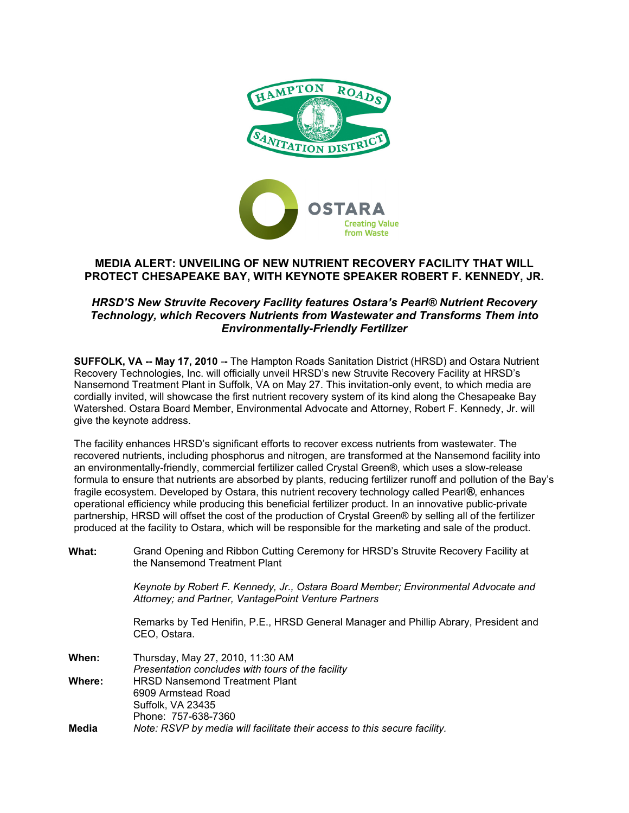

# **MEDIA ALERT: UNVEILING OF NEW NUTRIENT RECOVERY FACILITY THAT WILL PROTECT CHESAPEAKE BAY, WITH KEYNOTE SPEAKER ROBERT F. KENNEDY, JR.**

# *HRSD'S New Struvite Recovery Facility features Ostara's Pearl® Nutrient Recovery Technology, which Recovers Nutrients from Wastewater and Transforms Them into Environmentally-Friendly Fertilizer*

**SUFFOLK, VA -- May 17, 2010 --** The Hampton Roads Sanitation District (HRSD) and Ostara Nutrient Recovery Technologies, Inc. will officially unveil HRSD's new Struvite Recovery Facility at HRSD's Nansemond Treatment Plant in Suffolk, VA on May 27. This invitation-only event, to which media are cordially invited, will showcase the first nutrient recovery system of its kind along the Chesapeake Bay Watershed. Ostara Board Member, Environmental Advocate and Attorney, Robert F. Kennedy, Jr. will give the keynote address.

The facility enhances HRSD's significant efforts to recover excess nutrients from wastewater. The recovered nutrients, including phosphorus and nitrogen, are transformed at the Nansemond facility into an environmentally-friendly, commercial fertilizer called Crystal Green®, which uses a slow-release formula to ensure that nutrients are absorbed by plants, reducing fertilizer runoff and pollution of the Bay's fragile ecosystem. Developed by Ostara, this nutrient recovery technology called Pearl*®*, enhances operational efficiency while producing this beneficial fertilizer product. In an innovative public-private partnership, HRSD will offset the cost of the production of Crystal Green® by selling all of the fertilizer produced at the facility to Ostara, which will be responsible for the marketing and sale of the product.

**What:** [Grand](http://www.parksassociates.com/digitalhollywood/index.htm) Opening and Ribbon Cutting Ceremony for HRSD's Struvite Recovery Facility at the Nansemond Treatment Plant

> *Keynote by Robert F. Kennedy, Jr., Ostara Board Member; Environmental Advocate and Attorney; and Partner, VantagePoint Venture Partners*

> Remarks by Ted Henifin, P.E., HRSD General Manager and Phillip Abrary, President and CEO, Ostara.

| When:  | Thursday, May 27, 2010, 11:30 AM                                          |
|--------|---------------------------------------------------------------------------|
|        | Presentation concludes with tours of the facility                         |
| Where: | <b>HRSD Nansemond Treatment Plant</b>                                     |
|        | 6909 Armstead Road                                                        |
|        | Suffolk, VA 23435                                                         |
|        | Phone: 757-638-7360                                                       |
| Media  | Note: RSVP by media will facilitate their access to this secure facility. |